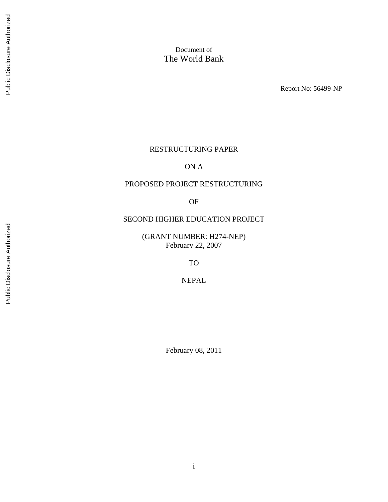Report No: 56499-NP

#### RESTRUCTURING PAPER

ON A

# PROPOSED PROJECT RESTRUCTURING

OF

# SECOND HIGHER EDUCATION PROJECT

(GRANT NUMBER: H274-NEP) February 22, 2007

TO

NEPAL

February 08, 2011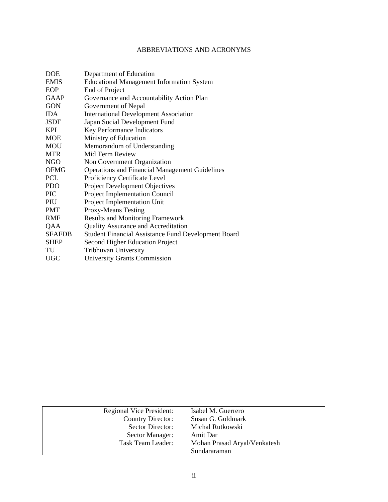# ABBREVIATIONS AND ACRONYMS

| <b>DOE</b>    | Department of Education                                    |
|---------------|------------------------------------------------------------|
| <b>EMIS</b>   | <b>Educational Management Information System</b>           |
| EOP           | End of Project                                             |
| <b>GAAP</b>   | Governance and Accountability Action Plan                  |
| <b>GON</b>    | Government of Nepal                                        |
| <b>IDA</b>    | <b>International Development Association</b>               |
| <b>JSDF</b>   | Japan Social Development Fund                              |
| <b>KPI</b>    | Key Performance Indicators                                 |
| <b>MOE</b>    | Ministry of Education                                      |
| <b>MOU</b>    | Memorandum of Understanding                                |
| <b>MTR</b>    | Mid Term Review                                            |
| <b>NGO</b>    | Non Government Organization                                |
| <b>OFMG</b>   | <b>Operations and Financial Management Guidelines</b>      |
| PCL           | Proficiency Certificate Level                              |
| <b>PDO</b>    | <b>Project Development Objectives</b>                      |
| <b>PIC</b>    | <b>Project Implementation Council</b>                      |
| PIU           | Project Implementation Unit                                |
| <b>PMT</b>    | <b>Proxy-Means Testing</b>                                 |
| <b>RMF</b>    | <b>Results and Monitoring Framework</b>                    |
| QAA           | <b>Quality Assurance and Accreditation</b>                 |
| <b>SFAFDB</b> | <b>Student Financial Assistance Fund Development Board</b> |
| <b>SHEP</b>   | Second Higher Education Project                            |
| TU            | Tribhuvan University                                       |
| <b>UGC</b>    | <b>University Grants Commission</b>                        |
|               |                                                            |

| Regional Vice President: | Isabel M. Guerrero           |
|--------------------------|------------------------------|
| Country Director:        | Susan G. Goldmark            |
| Sector Director:         | Michal Rutkowski             |
| Sector Manager:          | Amit Dar                     |
| Task Team Leader:        | Mohan Prasad Aryal/Venkatesh |
|                          | Sundararaman                 |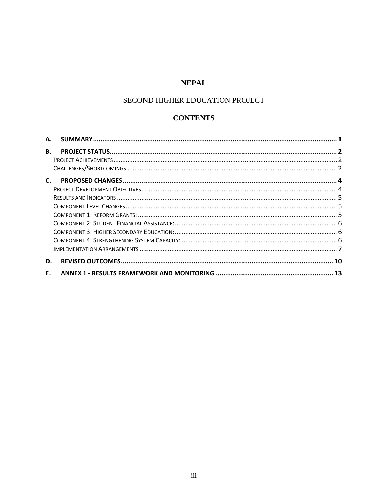# **NEPAL**

# SECOND HIGHER EDUCATION PROJECT

# **CONTENTS**

| А. |  |
|----|--|
| В. |  |
|    |  |
|    |  |
| C. |  |
|    |  |
|    |  |
|    |  |
|    |  |
|    |  |
|    |  |
|    |  |
|    |  |
| D. |  |
| Ε. |  |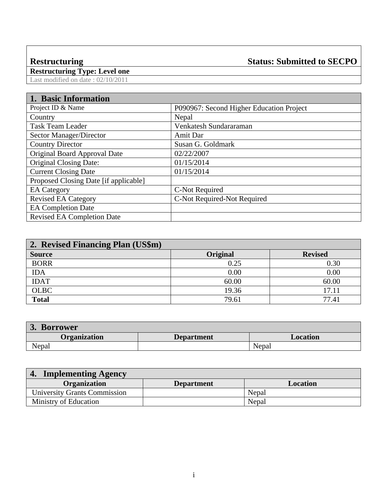# **Restructuring Status: Submitted to SECPO**

**Restructuring Type: Level one**  Last modified on date : 02/10/2011

# **1. Basic Information**

| 1. разге нимпианти                    |                                          |
|---------------------------------------|------------------------------------------|
| Project ID & Name                     | P090967: Second Higher Education Project |
| Country                               | Nepal                                    |
| <b>Task Team Leader</b>               | Venkatesh Sundararaman                   |
| Sector Manager/Director               | Amit Dar                                 |
| <b>Country Director</b>               | Susan G. Goldmark                        |
| Original Board Approval Date          | 02/22/2007                               |
| <b>Original Closing Date:</b>         | 01/15/2014                               |
| <b>Current Closing Date</b>           | 01/15/2014                               |
| Proposed Closing Date [if applicable] |                                          |
| <b>EA</b> Category                    | C-Not Required                           |
| <b>Revised EA Category</b>            | C-Not Required-Not Required              |
| <b>EA Completion Date</b>             |                                          |
| <b>Revised EA Completion Date</b>     |                                          |

| 2. Revised Financing Plan (US\$m) |                 |                |  |  |  |
|-----------------------------------|-----------------|----------------|--|--|--|
| <b>Source</b>                     | <b>Original</b> | <b>Revised</b> |  |  |  |
| <b>BORR</b>                       | 0.25            | 0.30           |  |  |  |
| <b>IDA</b>                        | 0.00            | 0.00           |  |  |  |
| <b>IDAT</b>                       | 60.00           | 60.00          |  |  |  |
| <b>OLBC</b>                       | 19.36           | 17.11          |  |  |  |
| <b>Total</b>                      | 79.61           | 77.41          |  |  |  |

| <b>Borrower</b><br>J. |                   |          |  |  |  |
|-----------------------|-------------------|----------|--|--|--|
| <b>Organization</b>   | <b>Department</b> | Location |  |  |  |
| Nepal                 |                   | Nepal    |  |  |  |

| <b>Implementing Agency</b>   |                   |          |
|------------------------------|-------------------|----------|
| <b>Organization</b>          | <b>Department</b> | Location |
| University Grants Commission |                   | Nepal    |
| Ministry of Education        |                   | Nepal    |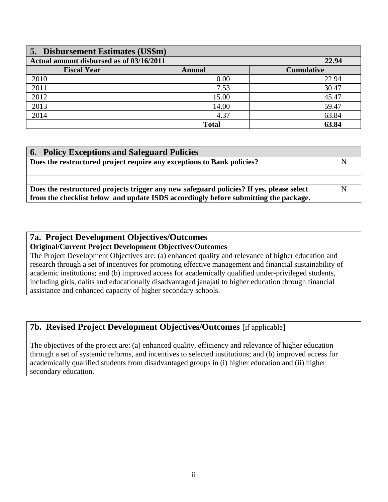| 5. Disbursement Estimates (US\$m)                 |               |                   |  |  |  |
|---------------------------------------------------|---------------|-------------------|--|--|--|
| Actual amount disbursed as of 03/16/2011<br>22.94 |               |                   |  |  |  |
| <b>Fiscal Year</b>                                | <b>Annual</b> | <b>Cumulative</b> |  |  |  |
| 2010                                              | 0.00          | 22.94             |  |  |  |
| 2011                                              | 7.53          | 30.47             |  |  |  |
| 2012                                              | 15.00         | 45.47             |  |  |  |
| 2013                                              | 14.00         | 59.47             |  |  |  |
| 2014                                              | 4.37          | 63.84             |  |  |  |
|                                                   | <b>Total</b>  | 63.84             |  |  |  |

| <b>6. Policy Exceptions and Safeguard Policies</b>                                       |   |  |
|------------------------------------------------------------------------------------------|---|--|
| Does the restructured project require any exceptions to Bank policies?                   |   |  |
|                                                                                          |   |  |
|                                                                                          |   |  |
| Does the restructured projects trigger any new safeguard policies? If yes, please select | N |  |
| from the checklist below and update ISDS accordingly before submitting the package.      |   |  |

# **7a. Project Development Objectives/Outcomes Original/Current Project Development Objectives/Outcomes**

The Project Development Objectives are: (a) enhanced quality and relevance of higher education and research through a set of incentives for promoting effective management and financial sustainability of academic institutions; and (b) improved access for academically qualified under-privileged students, including girls, dalits and educationally disadvantaged janajati to higher education through financial assistance and enhanced capacity of higher secondary schools.

# **7b. Revised Project Development Objectives/Outcomes** [if applicable]

The objectives of the project are: (a) enhanced quality, efficiency and relevance of higher education through a set of systemic reforms, and incentives to selected institutions; and (b) improved access for academically qualified students from disadvantaged groups in (i) higher education and (ii) higher secondary education.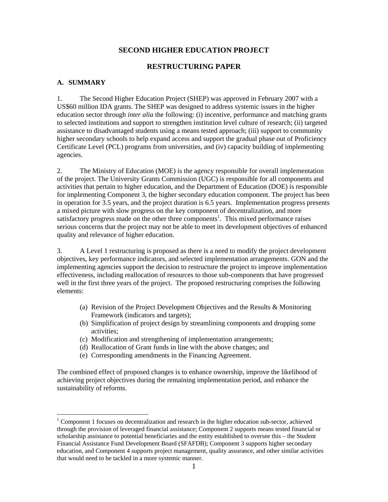# **SECOND HIGHER EDUCATION PROJECT**

### **RESTRUCTURING PAPER**

#### **A. SUMMARY**

 $\overline{a}$ 

1. The Second Higher Education Project (SHEP) was approved in February 2007 with a US\$60 million IDA grants. The SHEP was designed to address systemic issues in the higher education sector through *inter alia* the following: (i) incentive, performance and matching grants to selected institutions and support to strengthen institution level culture of research; (ii) targeted assistance to disadvantaged students using a means tested approach; (iii) support to community higher secondary schools to help expand access and support the gradual phase out of Proficiency Certificate Level (PCL) programs from universities, and (iv) capacity building of implementing agencies.

2. The Ministry of Education (MOE) is the agency responsible for overall implementation of the project. The University Grants Commission (UGC) is responsible for all components and activities that pertain to higher education, and the Department of Education (DOE) is responsible for implementing Component 3, the higher secondary education component. The project has been in operation for 3.5 years, and the project duration is 6.5 years. Implementation progress presents a mixed picture with slow progress on the key component of decentralization, and more satisfactory progress made on the other three components<sup>1</sup>. This mixed performance raises serious concerns that the project may not be able to meet its development objectives of enhanced quality and relevance of higher education.

3. A Level 1 restructuring is proposed as there is a need to modify the project development objectives, key performance indicators, and selected implementation arrangements. GON and the implementing agencies support the decision to restructure the project to improve implementation effectiveness, including reallocation of resources to those sub-components that have progressed well in the first three years of the project. The proposed restructuring comprises the following elements:

- (a) Revision of the Project Development Objectives and the Results & Monitoring Framework (indicators and targets);
- (b) Simplification of project design by streamlining components and dropping some activities;
- (c) Modification and strengthening of implementation arrangements;
- (d) Reallocation of Grant funds in line with the above changes; and
- (e) Corresponding amendments in the Financing Agreement.

The combined effect of proposed changes is to enhance ownership, improve the likelihood of achieving project objectives during the remaining implementation period, and enhance the sustainability of reforms.

 $1$  Component 1 focuses on decentralization and research in the higher education sub-sector, achieved through the provision of leveraged financial assistance; Component 2 supports means tested financial or scholarship assistance to potential beneficiaries and the entity established to oversee this – the Student Financial Assistance Fund Development Board (SFAFDB); Component 3 supports higher secondary education, and Component 4 supports project management, quality assurance, and other similar activities that would need to be tackled in a more systemic manner.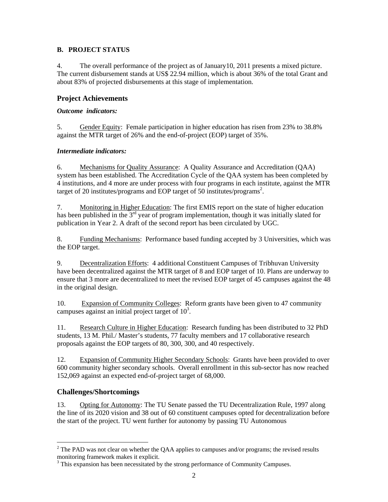## **B. PROJECT STATUS**

4. The overall performance of the project as of January10, 2011 presents a mixed picture. The current disbursement stands at US\$ 22.94 million, which is about 36% of the total Grant and about 83% of projected disbursements at this stage of implementation.

# **Project Achievements**

#### *Outcome indicators:*

5. Gender Equity: Female participation in higher education has risen from 23% to 38.8% against the MTR target of 26% and the end-of-project (EOP) target of 35%.

#### *Intermediate indicators:*

6. Mechanisms for Quality Assurance: A Quality Assurance and Accreditation (QAA) system has been established. The Accreditation Cycle of the QAA system has been completed by 4 institutions, and 4 more are under process with four programs in each institute, against the MTR target of 20 institutes/programs and EOP target of 50 institutes/programs<sup>2</sup>.

7. Monitoring in Higher Education: The first EMIS report on the state of higher education has been published in the  $3<sup>rd</sup>$  year of program implementation, though it was initially slated for publication in Year 2. A draft of the second report has been circulated by UGC.

8. Funding Mechanisms: Performance based funding accepted by 3 Universities, which was the EOP target.

9. Decentralization Efforts: 4 additional Constituent Campuses of Tribhuvan University have been decentralized against the MTR target of 8 and EOP target of 10. Plans are underway to ensure that 3 more are decentralized to meet the revised EOP target of 45 campuses against the 48 in the original design.

10. Expansion of Community Colleges: Reform grants have been given to 47 community campuses against an initial project target of  $10<sup>3</sup>$ .

11. Research Culture in Higher Education: Research funding has been distributed to 32 PhD students, 13 M. Phil./ Master's students, 77 faculty members and 17 collaborative research proposals against the EOP targets of 80, 300, 300, and 40 respectively.

12. Expansion of Community Higher Secondary Schools: Grants have been provided to over 600 community higher secondary schools. Overall enrollment in this sub-sector has now reached 152,069 against an expected end-of-project target of 68,000.

# **Challenges/Shortcomings**

13. Opting for Autonomy: The TU Senate passed the TU Decentralization Rule, 1997 along the line of its 2020 vision and 38 out of 60 constituent campuses opted for decentralization before the start of the project. TU went further for autonomy by passing TU Autonomous

 $\overline{a}$  $2^2$  The PAD was not clear on whether the QAA applies to campuses and/or programs; the revised results monitoring framework makes it explicit.

<sup>&</sup>lt;sup>3</sup> This expansion has been necessitated by the strong performance of Community Campuses.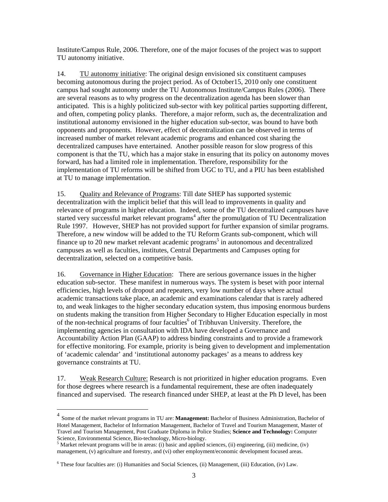Institute/Campus Rule, 2006. Therefore, one of the major focuses of the project was to support TU autonomy initiative.

14. TU autonomy initiative: The original design envisioned six constituent campuses becoming autonomous during the project period. As of October15, 2010 only one constituent campus had sought autonomy under the TU Autonomous Institute/Campus Rules (2006). There are several reasons as to why progress on the decentralization agenda has been slower than anticipated. This is a highly politicized sub-sector with key political parties supporting different, and often, competing policy planks. Therefore, a major reform, such as, the decentralization and institutional autonomy envisioned in the higher education sub-sector, was bound to have both opponents and proponents. However, effect of decentralization can be observed in terms of increased number of market relevant academic programs and enhanced cost sharing the decentralized campuses have entertained. Another possible reason for slow progress of this component is that the TU, which has a major stake in ensuring that its policy on autonomy moves forward, has had a limited role in implementation. Therefore, responsibility for the implementation of TU reforms will be shifted from UGC to TU, and a PIU has been established at TU to manage implementation.

15. Quality and Relevance of Programs: Till date SHEP has supported systemic decentralization with the implicit belief that this will lead to improvements in quality and relevance of programs in higher education. Indeed, some of the TU decentralized campuses have started very successful market relevant programs<sup>4</sup> after the promulgation of TU Decentralization Rule 1997. However, SHEP has not provided support for further expansion of similar programs. Therefore, a new window will be added to the TU Reform Grants sub-component, which will finance up to 20 new market relevant academic programs<sup>5</sup> in autonomous and decentralized campuses as well as faculties, institutes, Central Departments and Campuses opting for decentralization, selected on a competitive basis.

16. Governance in Higher Education: There are serious governance issues in the higher education sub-sector. These manifest in numerous ways. The system is beset with poor internal efficiencies, high levels of dropout and repeaters, very low number of days where actual academic transactions take place, an academic and examinations calendar that is rarely adhered to, and weak linkages to the higher secondary education system, thus imposing enormous burdens on students making the transition from Higher Secondary to Higher Education especially in most of the non-technical programs of four faculties<sup>6</sup> of Tribhuvan University. Therefore, the implementing agencies in consultation with IDA have developed a Governance and Accountability Action Plan (GAAP) to address binding constraints and to provide a framework for effective monitoring. For example, priority is being given to development and implementation of 'academic calendar' and 'institutional autonomy packages' as a means to address key governance constraints at TU.

17. Weak Research Culture: Research is not prioritized in higher education programs. Even for those degrees where research is a fundamental requirement, these are often inadequately financed and supervised. The research financed under SHEP, at least at the Ph D level, has been

 $\overline{a}$ 

<sup>4</sup> Some of the market relevant programs in TU are: **Management:** Bachelor of Business Administration, Bachelor of Hotel Management, Bachelor of Information Management, Bachelor of Travel and Tourism Management, Master of Travel and Tourism Management, Post Graduate Diploma in Police Studies; **Science and Technology:** Computer

Science, Environmental Science, Bio-technology, Micro-biology.<br><sup>5</sup> Market relevant programs will be in areas: (i) basic and applied sciences, (ii) engineering, (iii) medicine, (iv) management, (v) agriculture and forestry, and (vi) other employment/economic development focused areas.

<sup>&</sup>lt;sup>6</sup> These four faculties are: (i) Humanities and Social Sciences, (ii) Management, (iii) Education, (iv) Law.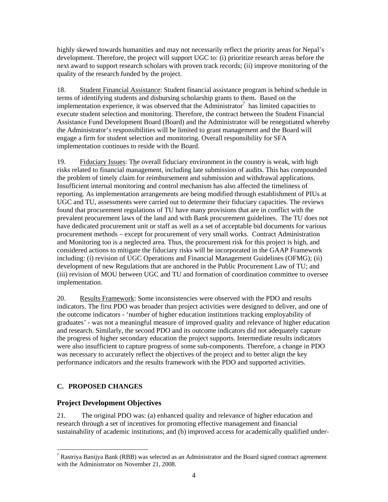highly skewed towards humanities and may not necessarily reflect the priority areas for Nepal's development. Therefore, the project will support UGC to: (i) prioritize research areas before the next award to support research scholars with proven track records; (ii) improve monitoring of the quality of the research funded by the project.

18. Student Financial Assistance: Student financial assistance program is behind schedule in terms of identifying students and disbursing scholarship grants to them. Based on the implementation experience, it was observed that the  $\vec{A}$ dministrator<sup>7</sup> has limited capacities to execute student selection and monitoring. Therefore, the contract between the Student Financial Assistance Fund Development Board (Board) and the Administrator will be renegotiated whereby the Administrator's responsibilities will be limited to grant management and the Board will engage a firm for student selection and monitoring. Overall responsibility for SFA implementation continues to reside with the Board.

19. Fiduciary Issues: The overall fiduciary environment in the country is weak, with high risks related to financial management, including late submission of audits. This has compounded the problem of timely claim for reimbursement and submission and withdrawal applications. Insufficient internal monitoring and control mechanism has also affected the timeliness of reporting. As implementation arrangements are being modified through establishment of PIUs at UGC and TU, assessments were carried out to determine their fiduciary capacities. The reviews found that procurement regulations of TU have many provisions that are in conflict with the prevalent procurement laws of the land and with Bank procurement guidelines. The TU does not have dedicated procurement unit or staff as well as a set of acceptable bid documents for various procurement methods – except for procurement of very small works. Contract Administration and Monitoring too is a neglected area. Thus, the procurement risk for this project is high, and considered actions to mitigate the fiduciary risks will be incorporated in the GAAP Framework including: (i) revision of UGC Operations and Financial Management Guidelines (OFMG); (ii) development of new Regulations that are anchored in the Public Procurement Law of TU; and (iii) revision of MOU between UGC and TU and formation of coordination committee to oversee implementation.

20. Results Framework: Some inconsistencies were observed with the PDO and results indicators. The first PDO was broader than project activities were designed to deliver, and one of the outcome indicators - 'number of higher education institutions tracking employability of graduates' - was not a meaningful measure of improved quality and relevance of higher education and research. Similarly, the second PDO and its outcome indicators did not adequately capture the progress of higher secondary education the project supports. Intermediate results indicators were also insufficient to capture progress of some sub-components. Therefore, a change in PDO was necessary to accurately reflect the objectives of the project and to better align the key performance indicators and the results framework with the PDO and supported activities.

# **C. PROPOSED CHANGES**

 $\overline{a}$ 

# **Project Development Objectives**

21. The original PDO was: (a) enhanced quality and relevance of higher education and research through a set of incentives for promoting effective management and financial sustainability of academic institutions; and (b) improved access for academically qualified under-

<sup>&</sup>lt;sup>7</sup> Rastriya Banijya Bank (RBB) was selected as an Administrator and the Board signed contract agreement with the Administrator on November 21, 2008.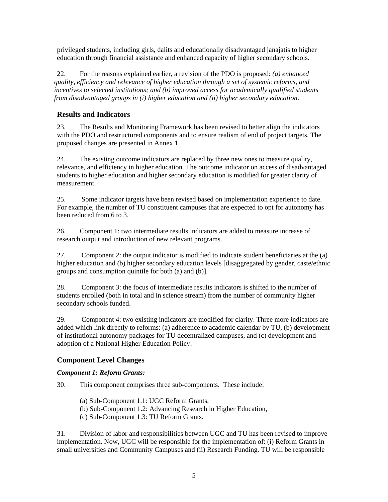privileged students, including girls, dalits and educationally disadvantaged janajatis to higher education through financial assistance and enhanced capacity of higher secondary schools.

22. For the reasons explained earlier, a revision of the PDO is proposed: *(a) enhanced quality, efficiency and relevance of higher education through a set of systemic reforms, and incentives to selected institutions; and (b) improved access for academically qualified students from disadvantaged groups in (i) higher education and (ii) higher secondary education*.

# **Results and Indicators**

23. The Results and Monitoring Framework has been revised to better align the indicators with the PDO and restructured components and to ensure realism of end of project targets. The proposed changes are presented in Annex 1.

24. The existing outcome indicators are replaced by three new ones to measure quality, relevance, and efficiency in higher education. The outcome indicator on access of disadvantaged students to higher education and higher secondary education is modified for greater clarity of measurement.

25. Some indicator targets have been revised based on implementation experience to date. For example, the number of TU constituent campuses that are expected to opt for autonomy has been reduced from 6 to 3.

26. Component 1: two intermediate results indicators are added to measure increase of research output and introduction of new relevant programs.

27. Component 2: the output indicator is modified to indicate student beneficiaries at the (a) higher education and (b) higher secondary education levels [disaggregated by gender, caste/ethnic groups and consumption quintile for both (a) and (b)].

28. Component 3: the focus of intermediate results indicators is shifted to the number of students enrolled (both in total and in science stream) from the number of community higher secondary schools funded.

29. Component 4: two existing indicators are modified for clarity. Three more indicators are added which link directly to reforms: (a) adherence to academic calendar by TU, (b) development of institutional autonomy packages for TU decentralized campuses, and (c) development and adoption of a National Higher Education Policy.

## **Component Level Changes**

## *Component 1: Reform Grants:*

30. This component comprises three sub-components. These include:

(a) Sub-Component 1.1: UGC Reform Grants,

(b) Sub-Component 1.2: Advancing Research in Higher Education,

(c) Sub-Component 1.3: TU Reform Grants.

31. Division of labor and responsibilities between UGC and TU has been revised to improve implementation. Now, UGC will be responsible for the implementation of: (i) Reform Grants in small universities and Community Campuses and (ii) Research Funding. TU will be responsible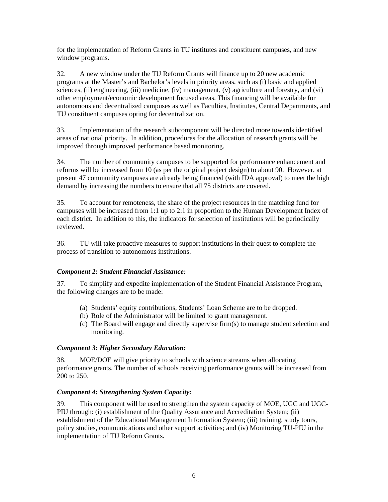for the implementation of Reform Grants in TU institutes and constituent campuses, and new window programs.

32. A new window under the TU Reform Grants will finance up to 20 new academic programs at the Master's and Bachelor's levels in priority areas, such as (i) basic and applied sciences, (ii) engineering, (iii) medicine, (iv) management, (v) agriculture and forestry, and (vi) other employment/economic development focused areas. This financing will be available for autonomous and decentralized campuses as well as Faculties, Institutes, Central Departments, and TU constituent campuses opting for decentralization.

33. Implementation of the research subcomponent will be directed more towards identified areas of national priority. In addition, procedures for the allocation of research grants will be improved through improved performance based monitoring.

34. The number of community campuses to be supported for performance enhancement and reforms will be increased from 10 (as per the original project design) to about 90. However, at present 47 community campuses are already being financed (with IDA approval) to meet the high demand by increasing the numbers to ensure that all 75 districts are covered.

35. To account for remoteness, the share of the project resources in the matching fund for campuses will be increased from 1:1 up to 2:1 in proportion to the Human Development Index of each district. In addition to this, the indicators for selection of institutions will be periodically reviewed.

36. TU will take proactive measures to support institutions in their quest to complete the process of transition to autonomous institutions.

## *Component 2: Student Financial Assistance:*

37. To simplify and expedite implementation of the Student Financial Assistance Program, the following changes are to be made:

- (a) Students' equity contributions, Students' Loan Scheme are to be dropped.
- (b) Role of the Administrator will be limited to grant management.
- (c) The Board will engage and directly supervise firm(s) to manage student selection and monitoring.

#### *Component 3: Higher Secondary Education:*

38. MOE/DOE will give priority to schools with science streams when allocating performance grants. The number of schools receiving performance grants will be increased from 200 to 250.

#### *Component 4: Strengthening System Capacity:*

39. This component will be used to strengthen the system capacity of MOE, UGC and UGC-PIU through: (i) establishment of the Quality Assurance and Accreditation System; (ii) establishment of the Educational Management Information System; (iii) training, study tours, policy studies, communications and other support activities; and (iv) Monitoring TU-PIU in the implementation of TU Reform Grants.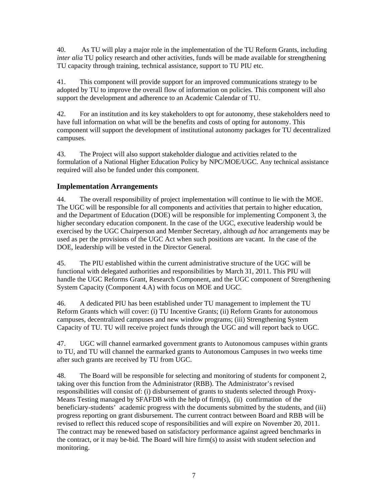40. As TU will play a major role in the implementation of the TU Reform Grants, including *inter alia* TU policy research and other activities, funds will be made available for strengthening TU capacity through training, technical assistance, support to TU PIU etc.

41. This component will provide support for an improved communications strategy to be adopted by TU to improve the overall flow of information on policies. This component will also support the development and adherence to an Academic Calendar of TU.

42. For an institution and its key stakeholders to opt for autonomy, these stakeholders need to have full information on what will be the benefits and costs of opting for autonomy. This component will support the development of institutional autonomy packages for TU decentralized campuses.

43. The Project will also support stakeholder dialogue and activities related to the formulation of a National Higher Education Policy by NPC/MOE/UGC. Any technical assistance required will also be funded under this component.

# **Implementation Arrangements**

44. The overall responsibility of project implementation will continue to lie with the MOE. The UGC will be responsible for all components and activities that pertain to higher education, and the Department of Education (DOE) will be responsible for implementing Component 3, the higher secondary education component. In the case of the UGC, executive leadership would be exercised by the UGC Chairperson and Member Secretary, although *ad hoc* arrangements may be used as per the provisions of the UGC Act when such positions are vacant. In the case of the DOE, leadership will be vested in the Director General.

45. The PIU established within the current administrative structure of the UGC will be functional with delegated authorities and responsibilities by March 31, 2011. This PIU will handle the UGC Reforms Grant, Research Component, and the UGC component of Strengthening System Capacity (Component 4.A) with focus on MOE and UGC.

46. A dedicated PIU has been established under TU management to implement the TU Reform Grants which will cover: (i) TU Incentive Grants; (ii) Reform Grants for autonomous campuses, decentralized campuses and new window programs; (iii) Strengthening System Capacity of TU. TU will receive project funds through the UGC and will report back to UGC.

47. UGC will channel earmarked government grants to Autonomous campuses within grants to TU, and TU will channel the earmarked grants to Autonomous Campuses in two weeks time after such grants are received by TU from UGC.

48. The Board will be responsible for selecting and monitoring of students for component 2, taking over this function from the Administrator (RBB). The Administrator's revised responsibilities will consist of: (i) disbursement of grants to students selected through Proxy-Means Testing managed by SFAFDB with the help of firm(s), (ii) confirmation of the beneficiary-students' academic progress with the documents submitted by the students, and (iii) progress reporting on grant disbursement. The current contract between Board and RBB will be revised to reflect this reduced scope of responsibilities and will expire on November 20, 2011. The contract may be renewed based on satisfactory performance against agreed benchmarks in the contract, or it may be-bid. The Board will hire firm(s) to assist with student selection and monitoring.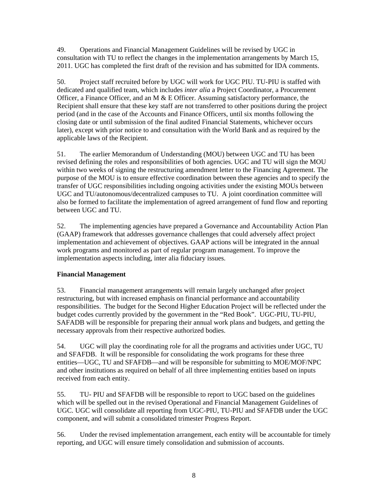49. Operations and Financial Management Guidelines will be revised by UGC in consultation with TU to reflect the changes in the implementation arrangements by March 15, 2011. UGC has completed the first draft of the revision and has submitted for IDA comments.

50. Project staff recruited before by UGC will work for UGC PIU. TU-PIU is staffed with dedicated and qualified team, which includes *inter alia* a Project Coordinator, a Procurement Officer, a Finance Officer, and an M  $&$  E Officer. Assuming satisfactory performance, the Recipient shall ensure that these key staff are not transferred to other positions during the project period (and in the case of the Accounts and Finance Officers, until six months following the closing date or until submission of the final audited Financial Statements, whichever occurs later), except with prior notice to and consultation with the World Bank and as required by the applicable laws of the Recipient.

51. The earlier Memorandum of Understanding (MOU) between UGC and TU has been revised defining the roles and responsibilities of both agencies. UGC and TU will sign the MOU within two weeks of signing the restructuring amendment letter to the Financing Agreement. The purpose of the MOU is to ensure effective coordination between these agencies and to specify the transfer of UGC responsibilities including ongoing activities under the existing MOUs between UGC and TU/autonomous/decentralized campuses to TU. A joint coordination committee will also be formed to facilitate the implementation of agreed arrangement of fund flow and reporting between UGC and TU.

52. The implementing agencies have prepared a Governance and Accountability Action Plan (GAAP) framework that addresses governance challenges that could adversely affect project implementation and achievement of objectives. GAAP actions will be integrated in the annual work programs and monitored as part of regular program management. To improve the implementation aspects including, inter alia fiduciary issues.

## **Financial Management**

53. Financial management arrangements will remain largely unchanged after project restructuring, but with increased emphasis on financial performance and accountability responsibilities. The budget for the Second Higher Education Project will be reflected under the budget codes currently provided by the government in the "Red Book". UGC-PIU, TU-PIU, SAFADB will be responsible for preparing their annual work plans and budgets, and getting the necessary approvals from their respective authorized bodies.

54. UGC will play the coordinating role for all the programs and activities under UGC, TU and SFAFDB. It will be responsible for consolidating the work programs for these three entities—UGC, TU and SFAFDB—and will be responsible for submitting to MOE/MOF/NPC and other institutions as required on behalf of all three implementing entities based on inputs received from each entity.

55. TU- PIU and SFAFDB will be responsible to report to UGC based on the guidelines which will be spelled out in the revised Operational and Financial Management Guidelines of UGC. UGC will consolidate all reporting from UGC-PIU, TU-PIU and SFAFDB under the UGC component, and will submit a consolidated trimester Progress Report.

56. Under the revised implementation arrangement, each entity will be accountable for timely reporting, and UGC will ensure timely consolidation and submission of accounts.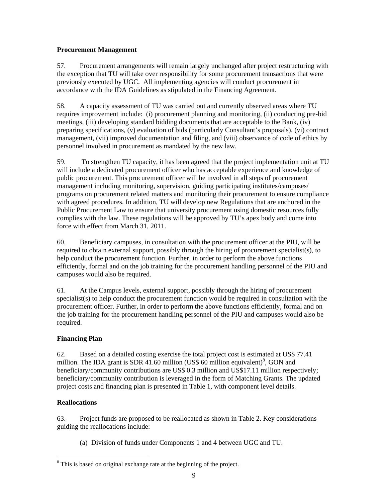## **Procurement Management**

57. Procurement arrangements will remain largely unchanged after project restructuring with the exception that TU will take over responsibility for some procurement transactions that were previously executed by UGC. All implementing agencies will conduct procurement in accordance with the IDA Guidelines as stipulated in the Financing Agreement.

58. A capacity assessment of TU was carried out and currently observed areas where TU requires improvement include: (i) procurement planning and monitoring, (ii) conducting pre-bid meetings, (iii) developing standard bidding documents that are acceptable to the Bank, (iv) preparing specifications, (v) evaluation of bids (particularly Consultant's proposals), (vi) contract management, (vii) improved documentation and filing, and (viii) observance of code of ethics by personnel involved in procurement as mandated by the new law.

59. To strengthen TU capacity, it has been agreed that the project implementation unit at TU will include a dedicated procurement officer who has acceptable experience and knowledge of public procurement. This procurement officer will be involved in all steps of procurement management including monitoring, supervision, guiding participating institutes/campuses/ programs on procurement related matters and monitoring their procurement to ensure compliance with agreed procedures. In addition, TU will develop new Regulations that are anchored in the Public Procurement Law to ensure that university procurement using domestic resources fully complies with the law. These regulations will be approved by TU's apex body and come into force with effect from March 31, 2011.

60. Beneficiary campuses, in consultation with the procurement officer at the PIU, will be required to obtain external support, possibly through the hiring of procurement specialist(s), to help conduct the procurement function. Further, in order to perform the above functions efficiently, formal and on the job training for the procurement handling personnel of the PIU and campuses would also be required.

61. At the Campus levels, external support, possibly through the hiring of procurement specialist(s) to help conduct the procurement function would be required in consultation with the procurement officer. Further, in order to perform the above functions efficiently, formal and on the job training for the procurement handling personnel of the PIU and campuses would also be required.

# **Financing Plan**

62. Based on a detailed costing exercise the total project cost is estimated at US\$ 77.41 million. The IDA grant is SDR 41.60 million (US\$ 60 million equivalent)<sup>8</sup>, GON and beneficiary/community contributions are US\$ 0.3 million and US\$17.11 million respectively; beneficiary/community contribution is leveraged in the form of Matching Grants. The updated project costs and financing plan is presented in Table 1, with component level details.

## **Reallocations**

63. Project funds are proposed to be reallocated as shown in Table 2. Key considerations guiding the reallocations include:

(a) Division of funds under Components 1 and 4 between UGC and TU.

 $\overline{a}$ <sup>8</sup> This is based on original exchange rate at the beginning of the project.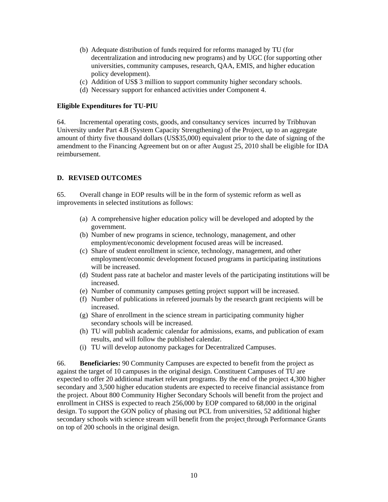- (b) Adequate distribution of funds required for reforms managed by TU (for decentralization and introducing new programs) and by UGC (for supporting other universities, community campuses, research, QAA, EMIS, and higher education policy development).
- (c) Addition of US\$ 3 million to support community higher secondary schools.
- (d) Necessary support for enhanced activities under Component 4.

#### **Eligible Expenditures for TU-PIU**

64. Incremental operating costs, goods, and consultancy services incurred by Tribhuvan University under Part 4.B (System Capacity Strengthening) of the Project, up to an aggregate amount of thirty five thousand dollars (US\$35,000) equivalent prior to the date of signing of the amendment to the Financing Agreement but on or after August 25, 2010 shall be eligible for IDA reimbursement.

#### **D. REVISED OUTCOMES**

65. Overall change in EOP results will be in the form of systemic reform as well as improvements in selected institutions as follows:

- (a) A comprehensive higher education policy will be developed and adopted by the government.
- (b) Number of new programs in science, technology, management, and other employment/economic development focused areas will be increased.
- (c) Share of student enrollment in science, technology, management, and other employment/economic development focused programs in participating institutions will be increased.
- (d) Student pass rate at bachelor and master levels of the participating institutions will be increased.
- (e) Number of community campuses getting project support will be increased.
- (f) Number of publications in refereed journals by the research grant recipients will be increased.
- (g) Share of enrollment in the science stream in participating community higher secondary schools will be increased.
- (h) TU will publish academic calendar for admissions, exams, and publication of exam results, and will follow the published calendar.
- (i) TU will develop autonomy packages for Decentralized Campuses.

66. **Beneficiaries:** 90 Community Campuses are expected to benefit from the project as against the target of 10 campuses in the original design. Constituent Campuses of TU are expected to offer 20 additional market relevant programs. By the end of the project 4,300 higher secondary and 3,500 higher education students are expected to receive financial assistance from the project. About 800 Community Higher Secondary Schools will benefit from the project and enrollment in CHSS is expected to reach 256,000 by EOP compared to 68,000 in the original design. To support the GON policy of phasing out PCL from universities, 52 additional higher secondary schools with science stream will benefit from the project through Performance Grants on top of 200 schools in the original design.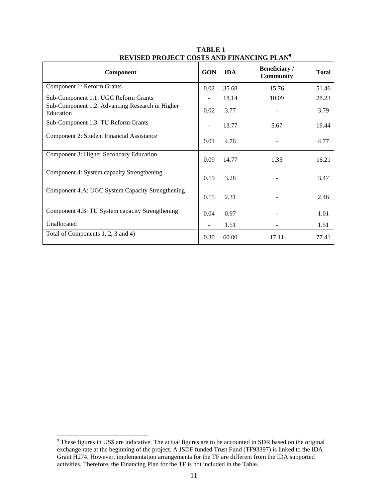| Component                                                    | <b>GON</b> | <b>IDA</b> | Beneficiary /<br><b>Community</b> | <b>Total</b> |
|--------------------------------------------------------------|------------|------------|-----------------------------------|--------------|
| Component 1: Reform Grants                                   | 0.02       | 35.68      | 15.76                             | 51.46        |
| Sub-Component 1.1: UGC Reform Grants                         |            | 18.14      | 10.09                             | 28.23        |
| Sub-Component 1.2: Advancing Research in Higher<br>Education | 0.02       | 3.77       |                                   | 3.79         |
| Sub-Component 1.3: TU Reform Grants                          |            | 13.77      | 5.67                              | 19.44        |
| Component 2: Student Financial Assistance                    | 0.01       | 4.76       |                                   | 4.77         |
| Component 3: Higher Secondary Education                      | 0.09       | 14.77      | 1.35                              | 16.21        |
| Component 4: System capacity Strengthening                   | 0.19       | 3.28       |                                   | 3.47         |
| Component 4.A: UGC System Capacity Strengthening             | 0.15       | 2.31       |                                   | 2.46         |
| Component 4.B: TU System capacity Strengthening              | 0.04       | 0.97       |                                   | 1.01         |
| Unallocated                                                  |            | 1.51       |                                   | 1.51         |
| Total of Components 1, 2, 3 and 4)                           | 0.30       | 60.00      | 17.11                             | 77.41        |

**TABLE 1 REVISED PROJECT COSTS AND FINANCING PLAN<sup>9</sup>** 

<sup>&</sup>lt;sup>9</sup> These figures in US\$ are indicative. The actual figures are to be accounted in SDR based on the original exchange rate at the beginning of the project. A JSDF funded Trust Fund (TF93397) is linked to the IDA Grant H274. However, implementation arrangements for the TF are different from the IDA supported activities. Therefore, the Financing Plan for the TF is not included in the Table.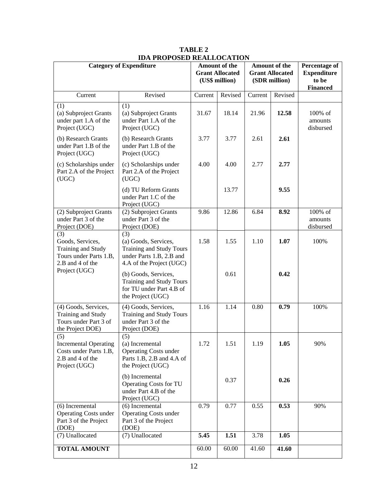| <b>Category of Expenditure</b>                                                                     |                                                                                                                 | Amount of the<br><b>Grant Allocated</b><br>(US\$ million) |         | Amount of the<br><b>Grant Allocated</b><br>(SDR million) |         | <b>Percentage of</b><br><b>Expenditure</b><br>to be<br><b>Financed</b> |
|----------------------------------------------------------------------------------------------------|-----------------------------------------------------------------------------------------------------------------|-----------------------------------------------------------|---------|----------------------------------------------------------|---------|------------------------------------------------------------------------|
| Current                                                                                            | Revised                                                                                                         | Current                                                   | Revised | Current                                                  | Revised |                                                                        |
| (1)<br>(a) Subproject Grants<br>under part 1.A of the<br>Project (UGC)                             | (1)<br>(a) Subproject Grants<br>under Part 1.A of the<br>Project (UGC)                                          | 31.67                                                     | 18.14   | 21.96                                                    | 12.58   | 100% of<br>amounts<br>disbursed                                        |
| (b) Research Grants<br>under Part 1.B of the<br>Project (UGC)                                      | (b) Research Grants<br>under Part 1.B of the<br>Project (UGC)                                                   | 3.77                                                      | 3.77    | 2.61                                                     | 2.61    |                                                                        |
| (c) Scholarships under<br>Part 2.A of the Project<br>(UGC)                                         | (c) Scholarships under<br>Part 2.A of the Project<br>(UGC)                                                      | 4.00                                                      | 4.00    | 2.77                                                     | 2.77    |                                                                        |
|                                                                                                    | (d) TU Reform Grants<br>under Part 1.C of the<br>Project (UGC)                                                  |                                                           | 13.77   |                                                          | 9.55    |                                                                        |
| (2) Subproject Grants<br>under Part 3 of the<br>Project (DOE)                                      | (2) Subproject Grants<br>under Part 3 of the<br>Project (DOE)                                                   | 9.86                                                      | 12.86   | 6.84                                                     | 8.92    | 100% of<br>amounts<br>disbursed                                        |
| (3)<br>Goods, Services,<br>Training and Study<br>Tours under Parts 1.B,<br>2.B and 4 of the        | (3)<br>(a) Goods, Services,<br>Training and Study Tours<br>under Parts 1.B, 2.B and<br>4.A of the Project (UGC) | 1.58                                                      | 1.55    | 1.10                                                     | 1.07    | 100%                                                                   |
| Project (UGC)                                                                                      | (b) Goods, Services,<br><b>Training and Study Tours</b><br>for TU under Part 4.B of<br>the Project (UGC)        |                                                           | 0.61    |                                                          | 0.42    |                                                                        |
| (4) Goods, Services,<br>Training and Study<br>Tours under Part 3 of<br>the Project DOE)            | (4) Goods, Services,<br><b>Training and Study Tours</b><br>under Part 3 of the<br>Project (DOE)                 | 1.16                                                      | 1.14    | 0.80                                                     | 0.79    | 100%                                                                   |
| (5)<br><b>Incremental Operating</b><br>Costs under Parts 1.B,<br>2.B and 4 of the<br>Project (UGC) | (5)<br>(a) Incremental<br><b>Operating Costs under</b><br>Parts 1.B, 2.B and 4.A of<br>the Project (UGC)        | 1.72                                                      | 1.51    | 1.19                                                     | 1.05    | 90%                                                                    |
|                                                                                                    | (b) Incremental<br><b>Operating Costs for TU</b><br>under Part 4.B of the<br>Project (UGC)                      |                                                           | 0.37    |                                                          | 0.26    |                                                                        |
| (6) Incremental<br><b>Operating Costs under</b><br>Part 3 of the Project<br>(DOE)                  | (6) Incremental<br><b>Operating Costs under</b><br>Part 3 of the Project<br>(DOE)                               | 0.79                                                      | 0.77    | 0.55                                                     | 0.53    | 90%                                                                    |
| (7) Unallocated                                                                                    | (7) Unallocated                                                                                                 | 5.45                                                      | 1.51    | 3.78                                                     | 1.05    |                                                                        |
| <b>TOTAL AMOUNT</b>                                                                                |                                                                                                                 | 60.00                                                     | 60.00   | 41.60                                                    | 41.60   |                                                                        |

**TABLE 2 IDA PROPOSED REALLOCATION**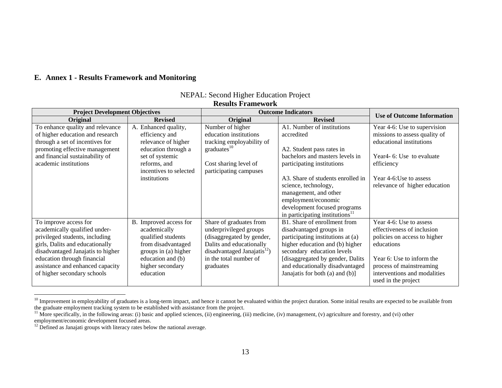#### **E. Annex 1 - Results Framework and Monitoring**

| <b>Project Development Objectives</b> |                        |                                         | <b>Outcome Indicators</b>                   | <b>Use of Outcome Information</b>     |
|---------------------------------------|------------------------|-----------------------------------------|---------------------------------------------|---------------------------------------|
| Original                              | <b>Revised</b>         | Original                                | <b>Revised</b>                              |                                       |
| To enhance quality and relevance      | A. Enhanced quality,   | Number of higher                        | A1. Number of institutions                  | Year 4-6: Use to supervision          |
| of higher education and research      | efficiency and         | education institutions                  | accredited                                  | missions to assess quality of         |
| through a set of incentives for       | relevance of higher    | tracking employability of               |                                             | educational institutions              |
| promoting effective management        | education through a    | graduates <sup>10</sup>                 | A2. Student pass rates in                   |                                       |
| and financial sustainability of       | set of systemic        |                                         | bachelors and masters levels in             | Year <sub>4</sub> -6: Use to evaluate |
| academic institutions                 | reforms, and           | Cost sharing level of                   | participating institutions                  | efficiency                            |
|                                       | incentives to selected | participating campuses                  |                                             |                                       |
|                                       | institutions           |                                         | A3. Share of students enrolled in           | Year 4-6:Use to assess                |
|                                       |                        |                                         | science, technology,                        | relevance of higher education         |
|                                       |                        |                                         | management, and other                       |                                       |
|                                       |                        |                                         | employment/economic                         |                                       |
|                                       |                        |                                         | development focused programs                |                                       |
|                                       |                        |                                         | in participating institutions <sup>11</sup> |                                       |
| To improve access for                 | B. Improved access for | Share of graduates from                 | B1. Share of enrollment from                | Year 4-6: Use to assess               |
| academically qualified under-         | academically           | underprivileged groups                  | disadvantaged groups in                     | effectiveness of inclusion            |
| privileged students, including        | qualified students     | (disaggregated by gender,               | participating institutions at (a)           | policies on access to higher          |
| girls, Dalits and educationally       | from disadvantaged     | Dalits and educationally                | higher education and (b) higher             | educations                            |
| disadvantaged Janajatis to higher     | groups in (a) higher   | disadvantaged Janajatis <sup>12</sup> ) | secondary education levels                  |                                       |
| education through financial           | education and (b)      | in the total number of                  | [disaggregated by gender, Dalits]           | Year 6: Use to inform the             |
| assistance and enhanced capacity      | higher secondary       | graduates                               | and educationally disadvantaged             | process of mainstreaming              |
| of higher secondary schools           | education              |                                         | Janajatis for both (a) and (b)]             | interventions and modalities          |
|                                       |                        |                                         |                                             | used in the project                   |

# NEPAL: Second Higher Education Project

**Results Framework** 

 $10$  Improvement in employability of graduates is a long-term impact, and hence it cannot be evaluated within the project duration. Some initial results are expected to be available from the graduate employment tracking system to be established with assistance from the project.

<sup>&</sup>lt;sup>11</sup> More specifically, in the following areas: (i) basic and applied sciences, (ii) engineering, (iii) medicine, (iv) management, (v) agriculture and forestry, and (vi) other employment/economic development focused areas.

<sup>&</sup>lt;sup>12</sup> Defined as Janajati groups with literacy rates below the national average.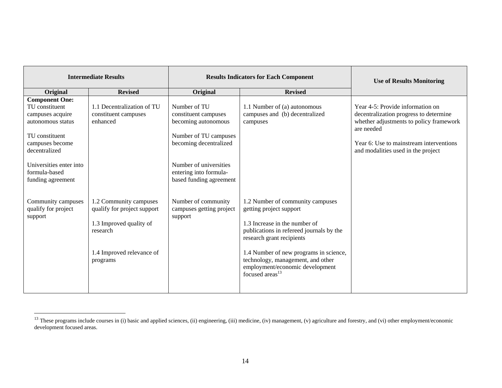|                                                                                                                                        | <b>Intermediate Results</b>                                                                                                           |                                                                                                                | <b>Results Indicators for Each Component</b>                                                                                                                                                                                                                                                                           | <b>Use of Results Monitoring</b>                                                                                                                                                                                     |
|----------------------------------------------------------------------------------------------------------------------------------------|---------------------------------------------------------------------------------------------------------------------------------------|----------------------------------------------------------------------------------------------------------------|------------------------------------------------------------------------------------------------------------------------------------------------------------------------------------------------------------------------------------------------------------------------------------------------------------------------|----------------------------------------------------------------------------------------------------------------------------------------------------------------------------------------------------------------------|
| Original                                                                                                                               | <b>Revised</b>                                                                                                                        | Original                                                                                                       | <b>Revised</b>                                                                                                                                                                                                                                                                                                         |                                                                                                                                                                                                                      |
| <b>Component One:</b><br>TU constituent<br>campuses acquire<br>autonomous status<br>TU constituent<br>campuses become<br>decentralized | 1.1 Decentralization of TU<br>constituent campuses<br>enhanced                                                                        | Number of TU<br>constituent campuses<br>becoming autonomous<br>Number of TU campuses<br>becoming decentralized | 1.1 Number of (a) autonomous<br>campuses and (b) decentralized<br>campuses                                                                                                                                                                                                                                             | Year 4-5: Provide information on<br>decentralization progress to determine<br>whether adjustments to policy framework<br>are needed<br>Year 6: Use to mainstream interventions<br>and modalities used in the project |
| Universities enter into<br>formula-based<br>funding agreement                                                                          |                                                                                                                                       | Number of universities<br>entering into formula-<br>based funding agreement                                    |                                                                                                                                                                                                                                                                                                                        |                                                                                                                                                                                                                      |
| Community campuses<br>qualify for project<br>support                                                                                   | 1.2 Community campuses<br>qualify for project support<br>1.3 Improved quality of<br>research<br>1.4 Improved relevance of<br>programs | Number of community<br>campuses getting project<br>support                                                     | 1.2 Number of community campuses<br>getting project support<br>1.3 Increase in the number of<br>publications in refereed journals by the<br>research grant recipients<br>1.4 Number of new programs in science,<br>technology, management, and other<br>employment/economic development<br>focused areas <sup>13</sup> |                                                                                                                                                                                                                      |

<sup>&</sup>lt;sup>13</sup> These programs include courses in (i) basic and applied sciences, (ii) engineering, (iii) medicine, (iv) management, (v) agriculture and forestry, and (vi) other employment/economic development focused areas.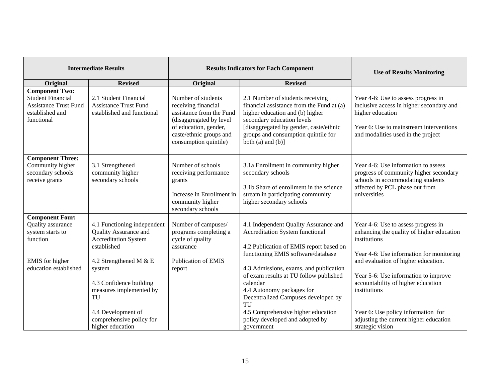|                                                                                                                         | <b>Intermediate Results</b>                                                                                                                                                                                                                                              |                                                                                                                                                                               | <b>Results Indicators for Each Component</b>                                                                                                                                                                                                                                                                                                                                                                                      | <b>Use of Results Monitoring</b>                                                                                                                                                                                                                                                                                                                                                      |  |  |
|-------------------------------------------------------------------------------------------------------------------------|--------------------------------------------------------------------------------------------------------------------------------------------------------------------------------------------------------------------------------------------------------------------------|-------------------------------------------------------------------------------------------------------------------------------------------------------------------------------|-----------------------------------------------------------------------------------------------------------------------------------------------------------------------------------------------------------------------------------------------------------------------------------------------------------------------------------------------------------------------------------------------------------------------------------|---------------------------------------------------------------------------------------------------------------------------------------------------------------------------------------------------------------------------------------------------------------------------------------------------------------------------------------------------------------------------------------|--|--|
| Original                                                                                                                | <b>Revised</b>                                                                                                                                                                                                                                                           | Original                                                                                                                                                                      | <b>Revised</b>                                                                                                                                                                                                                                                                                                                                                                                                                    |                                                                                                                                                                                                                                                                                                                                                                                       |  |  |
| <b>Component Two:</b><br><b>Student Financial</b><br><b>Assistance Trust Fund</b><br>established and<br>functional      | 2.1 Student Financial<br><b>Assistance Trust Fund</b><br>established and functional                                                                                                                                                                                      | Number of students<br>receiving financial<br>assistance from the Fund<br>(disaggregated by level<br>of education, gender,<br>caste/ethnic groups and<br>consumption quintile) | 2.1 Number of students receiving<br>financial assistance from the Fund at (a)<br>higher education and (b) higher<br>secondary education levels<br>[disaggregated by gender, caste/ethnic<br>groups and consumption quintile for<br>both $(a)$ and $(b)$ ]                                                                                                                                                                         | Year 4-6: Use to assess progress in<br>inclusive access in higher secondary and<br>higher education<br>Year 6: Use to mainstream interventions<br>and modalities used in the project                                                                                                                                                                                                  |  |  |
| <b>Component Three:</b><br>Community higher<br>secondary schools<br>receive grants                                      | 3.1 Strengthened<br>community higher<br>secondary schools                                                                                                                                                                                                                | Number of schools<br>receiving performance<br>grants<br>Increase in Enrollment in<br>community higher<br>secondary schools                                                    | 3.1a Enrollment in community higher<br>secondary schools<br>3.1b Share of enrollment in the science<br>stream in participating community<br>higher secondary schools                                                                                                                                                                                                                                                              | Year 4-6: Use information to assess<br>progress of community higher secondary<br>schools in accommodating students<br>affected by PCL phase out from<br>universities                                                                                                                                                                                                                  |  |  |
| <b>Component Four:</b><br>Quality assurance<br>system starts to<br>function<br>EMIS for higher<br>education established | 4.1 Functioning independent<br>Quality Assurance and<br><b>Accreditation System</b><br>established<br>4.2 Strengthened M & E<br>system<br>4.3 Confidence building<br>measures implemented by<br>TU<br>4.4 Development of<br>comprehensive policy for<br>higher education | Number of campuses/<br>programs completing a<br>cycle of quality<br>assurance<br><b>Publication of EMIS</b><br>report                                                         | 4.1 Independent Quality Assurance and<br><b>Accreditation System functional</b><br>4.2 Publication of EMIS report based on<br>functioning EMIS software/database<br>4.3 Admissions, exams, and publication<br>of exam results at TU follow published<br>calendar<br>4.4 Autonomy packages for<br>Decentralized Campuses developed by<br>TU<br>4.5 Comprehensive higher education<br>policy developed and adopted by<br>government | Year 4-6: Use to assess progress in<br>enhancing the quality of higher education<br>institutions<br>Year 4-6: Use information for monitoring<br>and evaluation of higher education.<br>Year 5-6: Use information to improve<br>accountability of higher education<br>institutions<br>Year 6: Use policy information for<br>adjusting the current higher education<br>strategic vision |  |  |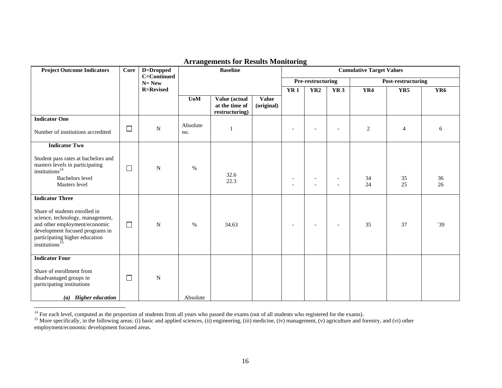| <b>Project Outcome Indicators</b>                                                                                                                                                                                               | Core   | D=Dropped                | <b>Baseline</b>  |                                                   |                            | <b>Cumulative Target Values</b> |                          |                          |          |                    |                 |
|---------------------------------------------------------------------------------------------------------------------------------------------------------------------------------------------------------------------------------|--------|--------------------------|------------------|---------------------------------------------------|----------------------------|---------------------------------|--------------------------|--------------------------|----------|--------------------|-----------------|
|                                                                                                                                                                                                                                 |        | C=Continued<br>$N = New$ |                  |                                                   |                            |                                 | Pre-restructuring        |                          |          | Post-restructuring |                 |
|                                                                                                                                                                                                                                 |        | <b>R=Revised</b>         |                  |                                                   |                            | YR <sub>1</sub>                 | YR <sub>2</sub>          | YR <sub>3</sub>          | YR4      | YR5                | YR <sub>6</sub> |
|                                                                                                                                                                                                                                 |        |                          | U <sub>0</sub> M | Value (actual<br>at the time of<br>restructuring) | <b>Value</b><br>(original) |                                 |                          |                          |          |                    |                 |
| <b>Indicator One</b>                                                                                                                                                                                                            |        |                          |                  |                                                   |                            |                                 |                          |                          |          |                    |                 |
| Number of institutions accredited                                                                                                                                                                                               | $\Box$ | N                        | Absolute<br>no.  |                                                   |                            |                                 |                          |                          | 2        | $\overline{4}$     | 6               |
| <b>Indicator Two</b>                                                                                                                                                                                                            |        |                          |                  |                                                   |                            |                                 |                          |                          |          |                    |                 |
| Student pass rates at bachelors and<br>masters levels in participating<br>institutions <sup>14</sup><br><b>Bachelors</b> level<br>Masters level                                                                                 | $\Box$ | ${\bf N}$                | $\%$             | 32.6<br>22.3                                      |                            |                                 |                          |                          | 34<br>24 | 35<br>25           | 36<br>26        |
| <b>Indicator Three</b><br>Share of students enrolled in<br>science, technology, management,<br>and other employment/economic<br>development focused programs in<br>participating higher education<br>institutions <sup>15</sup> | $\Box$ | $\mathbf N$              | $\%$             | 34.63                                             |                            | $\overline{\phantom{a}}$        | $\overline{\phantom{a}}$ | $\overline{\phantom{0}}$ | 35       | 37                 | 39              |
| <b>Indicator Four</b><br>Share of enrollment from<br>disadvantaged groups in<br>participating institutions<br>(a) Higher education                                                                                              | $\Box$ | N                        | Absolute         |                                                   |                            |                                 |                          |                          |          |                    |                 |

### **Arrangements for Results Monitoring**

 $<sup>14</sup>$  For each level, computed as the proportion of students from all years who passed the exams (out of all students who registered for the exams).</sup>

<sup>&</sup>lt;sup>15</sup> More specifically, in the following areas: (i) basic and applied sciences, (ii) engineering, (iii) medicine, (iv) management, (v) agriculture and forestry, and (vi) other employment/economic development focused areas.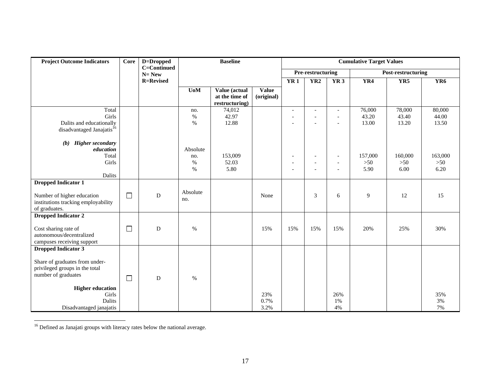| <b>Project Outcome Indicators</b>                                                                                                                                                              | Core   | D=Dropped                | <b>Baseline</b>                 |                                                   |                            | <b>Cumulative Target Values</b>            |                                                                        |                                                                        |                          |                          |                          |  |
|------------------------------------------------------------------------------------------------------------------------------------------------------------------------------------------------|--------|--------------------------|---------------------------------|---------------------------------------------------|----------------------------|--------------------------------------------|------------------------------------------------------------------------|------------------------------------------------------------------------|--------------------------|--------------------------|--------------------------|--|
|                                                                                                                                                                                                |        | C=Continued<br>$N = New$ |                                 |                                                   |                            |                                            | Pre-restructuring                                                      |                                                                        |                          | Post-restructuring       |                          |  |
|                                                                                                                                                                                                |        | <b>R=Revised</b>         |                                 |                                                   |                            | YR1                                        | YR2                                                                    | YR3                                                                    | YR4                      | YR5                      | YR <sub>6</sub>          |  |
|                                                                                                                                                                                                |        |                          | $U0M$                           | Value (actual<br>at the time of<br>restructuring) | <b>Value</b><br>(original) |                                            |                                                                        |                                                                        |                          |                          |                          |  |
| Total<br>Girls<br>Dalits and educationally<br>disadvantaged Janajatis <sup>16</sup>                                                                                                            |        |                          | no.<br>$\%$<br>$\%$             | 74,012<br>42.97<br>12.88                          |                            | $\blacksquare$<br>$\overline{\phantom{a}}$ | $\overline{\phantom{a}}$<br>$\overline{a}$<br>$\overline{\phantom{a}}$ | $\overline{\phantom{a}}$<br>$\overline{\phantom{a}}$<br>$\overline{a}$ | 76,000<br>43.20<br>13.00 | 78,000<br>43.40<br>13.20 | 80,000<br>44.00<br>13.50 |  |
| <b>Higher secondary</b><br>(b)<br>education<br>Total<br>Girls<br>Dalits                                                                                                                        |        |                          | Absolute<br>no.<br>$\%$<br>$\%$ | 153,009<br>52.03<br>5.80                          |                            | $\overline{\phantom{a}}$                   | $\overline{\phantom{a}}$                                               | $\overline{\phantom{a}}$<br>$\overline{a}$<br>$\overline{\phantom{a}}$ | 157,000<br>$>50$<br>5.90 | 160,000<br>$>50$<br>6.00 | 163,000<br>$>50$<br>6.20 |  |
| <b>Dropped Indicator 1</b><br>Number of higher education<br>institutions tracking employability<br>of graduates.                                                                               | $\Box$ | ${\bf D}$                | Absolute<br>no.                 |                                                   | None                       |                                            | 3                                                                      | 6                                                                      | 9                        | 12                       | 15                       |  |
| <b>Dropped Indicator 2</b><br>Cost sharing rate of<br>autonomous/decentralized<br>campuses receiving support                                                                                   | $\Box$ | D                        | $\%$                            |                                                   | 15%                        | 15%                                        | 15%                                                                    | 15%                                                                    | 20%                      | 25%                      | 30%                      |  |
| <b>Dropped Indicator 3</b><br>Share of graduates from under-<br>privileged groups in the total<br>number of graduates<br><b>Higher education</b><br>Girls<br>Dalits<br>Disadvantaged janajatis | $\Box$ | D                        | $\%$                            |                                                   | 23%<br>0.7%<br>3.2%        |                                            |                                                                        | 26%<br>1%<br>4%                                                        |                          |                          | 35%<br>3%<br>7%          |  |

 $^{16}$  Defined as Janajati groups with literacy rates below the national average.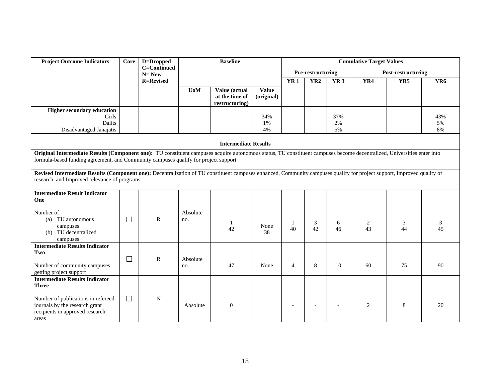| <b>Project Outcome Indicators</b>                                                                                                                                                                                                                              | Core   | D=Dropped                       | <b>Baseline</b>  |                                                   |                     | <b>Cumulative Target Values</b> |                   |                 |                      |                    |                 |  |
|----------------------------------------------------------------------------------------------------------------------------------------------------------------------------------------------------------------------------------------------------------------|--------|---------------------------------|------------------|---------------------------------------------------|---------------------|---------------------------------|-------------------|-----------------|----------------------|--------------------|-----------------|--|
|                                                                                                                                                                                                                                                                |        | <b>C=Continued</b><br>$N = New$ |                  |                                                   |                     |                                 | Pre-restructuring |                 |                      | Post-restructuring |                 |  |
|                                                                                                                                                                                                                                                                |        | <b>R=Revised</b>                |                  |                                                   |                     | <b>YR1</b>                      | YR <sub>2</sub>   | <b>YR3</b>      | YR4                  | YR5                | YR <sub>6</sub> |  |
|                                                                                                                                                                                                                                                                |        |                                 | U <sub>0</sub> M | Value (actual<br>at the time of<br>restructuring) | Value<br>(original) |                                 |                   |                 |                      |                    |                 |  |
| <b>Higher secondary education</b><br>Girls<br>Dalits<br>Disadvantaged Janajatis                                                                                                                                                                                |        |                                 |                  |                                                   | 34%<br>1%<br>4%     |                                 |                   | 37%<br>2%<br>5% |                      |                    | 43%<br>5%<br>8% |  |
| <b>Intermediate Results</b>                                                                                                                                                                                                                                    |        |                                 |                  |                                                   |                     |                                 |                   |                 |                      |                    |                 |  |
| Original Intermediate Results (Component one): TU constituent campuses acquire autonomous status, TU constituent campuses become decentralized, Universities enter into<br>formula-based funding agreement, and Community campuses qualify for project support |        |                                 |                  |                                                   |                     |                                 |                   |                 |                      |                    |                 |  |
| Revised Intermediate Results (Component one): Decentralization of TU constituent campuses enhanced, Community campuses qualify for project support, Improved quality of<br>research, and Improved relevance of programs                                        |        |                                 |                  |                                                   |                     |                                 |                   |                 |                      |                    |                 |  |
| <b>Intermediate Result Indicator</b><br>One                                                                                                                                                                                                                    |        |                                 |                  |                                                   |                     |                                 |                   |                 |                      |                    |                 |  |
| Number of<br>TU autonomous<br>(a)<br>campuses<br>(b) TU decentralized<br>campuses                                                                                                                                                                              | $\Box$ | $\mathbf R$                     | Absolute<br>no.  | 1<br>42                                           | None<br>38          | 40                              | 3<br>42           | 6<br>46         | $\overline{c}$<br>43 | 3<br>44            | 3<br>45         |  |
| <b>Intermediate Results Indicator</b><br>Two<br>Number of community campuses<br>getting project support                                                                                                                                                        | $\Box$ | $\mathbf R$                     | Absolute<br>no.  | 47                                                | None                | $\overline{4}$                  | 8                 | 10              | 60                   | 75                 | 90              |  |
| <b>Intermediate Results Indicator</b><br><b>Three</b>                                                                                                                                                                                                          |        |                                 |                  |                                                   |                     |                                 |                   |                 |                      |                    |                 |  |
| Number of publications in refereed<br>journals by the research grant<br>recipients in approved research<br>areas                                                                                                                                               | $\Box$ | $\mathbf N$                     | Absolute         | $\theta$                                          |                     |                                 |                   | $\overline{a}$  | 2                    | 8                  | 20              |  |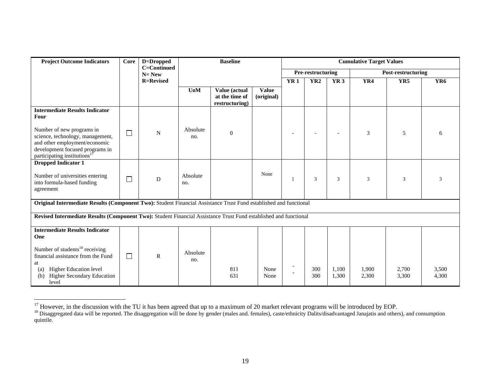| <b>Project Outcome Indicators</b>                                                                                                                                                                                                   | <b>Core</b> | D=Dropped                | <b>Baseline</b> |                                                   |                            | <b>Cumulative Target Values</b> |                 |                          |                    |                |                 |
|-------------------------------------------------------------------------------------------------------------------------------------------------------------------------------------------------------------------------------------|-------------|--------------------------|-----------------|---------------------------------------------------|----------------------------|---------------------------------|-----------------|--------------------------|--------------------|----------------|-----------------|
|                                                                                                                                                                                                                                     |             | C=Continued<br>$N = New$ |                 |                                                   |                            | Pre-restructuring               |                 |                          | Post-restructuring |                |                 |
|                                                                                                                                                                                                                                     |             | <b>R=Revised</b>         |                 |                                                   |                            | <b>YR1</b>                      | YR <sub>2</sub> | <b>YR3</b>               | YR4                | YR5            | YR <sub>6</sub> |
|                                                                                                                                                                                                                                     |             |                          | <b>UoM</b>      | Value (actual<br>at the time of<br>restructuring) | <b>Value</b><br>(original) |                                 |                 |                          |                    |                |                 |
| <b>Intermediate Results Indicator</b><br>Four<br>Number of new programs in<br>science, technology, management,<br>and other employment/economic<br>development focused programs in<br>participating institutions <sup>17</sup>      | $\Box$      | ${\bf N}$                | Absolute<br>no. | $\overline{0}$                                    |                            |                                 |                 | $\overline{\phantom{a}}$ | 3                  | 5              | 6               |
| <b>Dropped Indicator 1</b><br>Number of universities entering<br>into formula-based funding<br>agreement                                                                                                                            | $\Box$      | D                        | Absolute<br>no. |                                                   | None                       |                                 | 3               | 3                        | 3                  | 3              | 3               |
| Original Intermediate Results (Component Two): Student Financial Assistance Trust Fund established and functional                                                                                                                   |             |                          |                 |                                                   |                            |                                 |                 |                          |                    |                |                 |
| Revised Intermediate Results (Component Two): Student Financial Assistance Trust Fund established and functional                                                                                                                    |             |                          |                 |                                                   |                            |                                 |                 |                          |                    |                |                 |
| <b>Intermediate Results Indicator</b><br>One<br>Number of students <sup>18</sup> receiving<br>financial assistance from the Fund<br>at<br><b>Higher Education level</b><br>(a)<br><b>Higher Secondary Education</b><br>(b)<br>level | $\Box$      | $\mathbb{R}$             | Absolute<br>no. | 811<br>631                                        | None<br>None               |                                 | 300<br>300      | 1,100<br>1,300           | 1,900<br>2,300     | 2,700<br>3,300 | 3,500<br>4,300  |

<sup>&</sup>lt;sup>17</sup> However, in the discussion with the TU it has been agreed that up to a maximum of 20 market relevant programs will be introduced by EOP.

<sup>&</sup>lt;sup>18</sup> Disaggregated data will be reported. The disaggregation will be done by gender (males and. females), caste/ethnicity Dalits/disadvantaged Janajatis and others), and consumption quintile.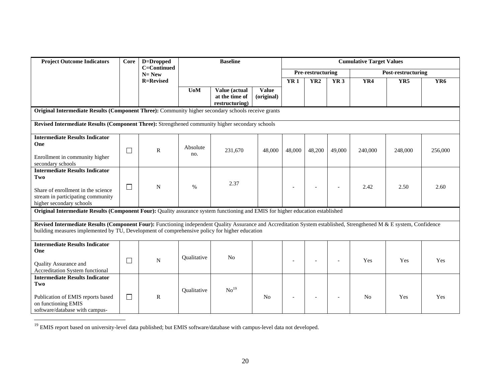| <b>Project Outcome Indicators</b>                                                                                                                                                                                                                                     | Core   | D=Dropped                |                  | <b>Cumulative Target Values</b>  |                |            |                   |                          |                |                    |                 |
|-----------------------------------------------------------------------------------------------------------------------------------------------------------------------------------------------------------------------------------------------------------------------|--------|--------------------------|------------------|----------------------------------|----------------|------------|-------------------|--------------------------|----------------|--------------------|-----------------|
|                                                                                                                                                                                                                                                                       |        | C=Continued<br>$N = New$ |                  |                                  |                |            | Pre-restructuring |                          |                | Post-restructuring |                 |
|                                                                                                                                                                                                                                                                       |        | <b>R=Revised</b>         |                  |                                  |                | <b>YR1</b> | YR <sub>2</sub>   | <b>YR3</b>               | YR4            | YR5                | YR <sub>6</sub> |
|                                                                                                                                                                                                                                                                       |        |                          | U <sub>0</sub> M | Value (actual                    | <b>Value</b>   |            |                   |                          |                |                    |                 |
|                                                                                                                                                                                                                                                                       |        |                          |                  | at the time of<br>restructuring) | (original)     |            |                   |                          |                |                    |                 |
| Original Intermediate Results (Component Three): Community higher secondary schools receive grants                                                                                                                                                                    |        |                          |                  |                                  |                |            |                   |                          |                |                    |                 |
| Revised Intermediate Results (Component Three): Strengthened community higher secondary schools                                                                                                                                                                       |        |                          |                  |                                  |                |            |                   |                          |                |                    |                 |
|                                                                                                                                                                                                                                                                       |        |                          |                  |                                  |                |            |                   |                          |                |                    |                 |
| <b>Intermediate Results Indicator</b>                                                                                                                                                                                                                                 |        |                          |                  |                                  |                |            |                   |                          |                |                    |                 |
| One                                                                                                                                                                                                                                                                   | $\Box$ | $\mathbb{R}$             | Absolute         | 231,670                          | 48,000         | 48,000     | 48,200            | 49,000                   | 240,000        | 248,000            | 256,000         |
| Enrollment in community higher                                                                                                                                                                                                                                        |        |                          | no.              |                                  |                |            |                   |                          |                |                    |                 |
| secondary schools                                                                                                                                                                                                                                                     |        |                          |                  |                                  |                |            |                   |                          |                |                    |                 |
| <b>Intermediate Results Indicator</b><br>Two                                                                                                                                                                                                                          |        |                          |                  |                                  |                |            |                   |                          |                |                    |                 |
|                                                                                                                                                                                                                                                                       |        | N                        |                  | 2.37                             |                |            |                   |                          | 2.42           | 2.50               | 2.60            |
| Share of enrollment in the science                                                                                                                                                                                                                                    | ⊔      |                          | $\%$             |                                  |                |            |                   | $\qquad \qquad -$        |                |                    |                 |
| stream in participating community<br>higher secondary schools                                                                                                                                                                                                         |        |                          |                  |                                  |                |            |                   |                          |                |                    |                 |
| Original Intermediate Results (Component Four): Quality assurance system functioning and EMIS for higher education established                                                                                                                                        |        |                          |                  |                                  |                |            |                   |                          |                |                    |                 |
|                                                                                                                                                                                                                                                                       |        |                          |                  |                                  |                |            |                   |                          |                |                    |                 |
| Revised Intermediate Results (Component Four): Functioning independent Quality Assurance and Accreditation System established, Strengthened M & E system, Confidence<br>building measures implemented by TU, Development of comprehensive policy for higher education |        |                          |                  |                                  |                |            |                   |                          |                |                    |                 |
|                                                                                                                                                                                                                                                                       |        |                          |                  |                                  |                |            |                   |                          |                |                    |                 |
| <b>Intermediate Results Indicator</b>                                                                                                                                                                                                                                 |        |                          |                  |                                  |                |            |                   |                          |                |                    |                 |
| One                                                                                                                                                                                                                                                                   |        |                          | Qualitative      | No                               |                |            |                   |                          |                |                    |                 |
| Quality Assurance and                                                                                                                                                                                                                                                 | $\Box$ | $\mathbf N$              |                  |                                  |                |            |                   | $\overline{a}$           | Yes            | Yes                | Yes             |
| Accreditation System functional                                                                                                                                                                                                                                       |        |                          |                  |                                  |                |            |                   |                          |                |                    |                 |
| <b>Intermediate Results Indicator</b><br>Two                                                                                                                                                                                                                          |        |                          |                  |                                  |                |            |                   |                          |                |                    |                 |
|                                                                                                                                                                                                                                                                       |        |                          | Qualitative      | No <sup>19</sup>                 |                |            |                   |                          |                |                    |                 |
| Publication of EMIS reports based                                                                                                                                                                                                                                     | $\Box$ | $\mathbf R$              |                  |                                  | N <sub>0</sub> |            |                   | $\overline{\phantom{a}}$ | N <sub>0</sub> | Yes                | Yes             |
| on functioning EMIS<br>software/database with campus-                                                                                                                                                                                                                 |        |                          |                  |                                  |                |            |                   |                          |                |                    |                 |

<sup>19</sup> EMIS report based on university-level data published; but EMIS software/database with campus-level data not developed.